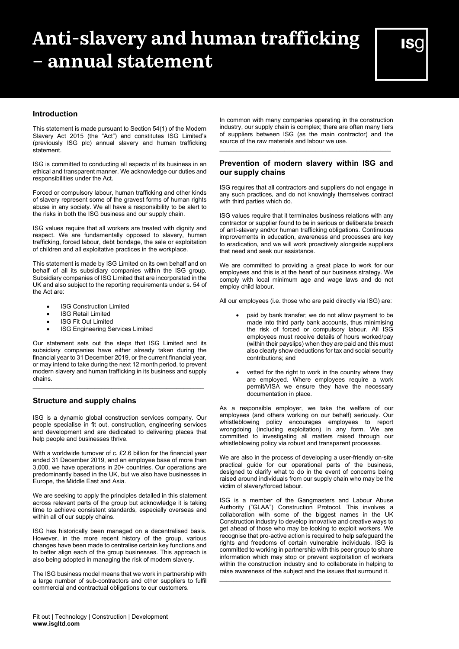# **Anti-slavery and human trafficking – annual statement**

# **Introduction**

This statement is made pursuant to Section 54(1) of the Modern Slavery Act 2015 (the "Act") and constitutes ISG Limited's (previously ISG plc) annual slavery and human trafficking statement.

ISG is committed to conducting all aspects of its business in an ethical and transparent manner. We acknowledge our duties and responsibilities under the Act.

Forced or compulsory labour, human trafficking and other kinds of slavery represent some of the gravest forms of human rights abuse in any society. We all have a responsibility to be alert to the risks in both the ISG business and our supply chain.

ISG values require that all workers are treated with dignity and respect. We are fundamentally opposed to slavery, human trafficking, forced labour, debt bondage, the sale or exploitation of children and all exploitative practices in the workplace.

This statement is made by ISG Limited on its own behalf and on behalf of all its subsidiary companies within the ISG group. Subsidiary companies of ISG Limited that are incorporated in the UK and also subject to the reporting requirements under s. 54 of the Act are:

- **ISG Construction Limited**
- **ISG Retail Limited**
- ISG Fit Out Limited
- **ISG Engineering Services Limited**

Our statement sets out the steps that ISG Limited and its subsidiary companies have either already taken during the financial year to 31 December 2019, or the current financial year, or may intend to take during the next 12 month period, to prevent modern slavery and human trafficking in its business and supply chains.

\_\_\_\_\_\_\_\_\_\_\_\_\_\_\_\_\_\_\_\_\_\_\_\_\_\_\_\_\_\_\_\_\_\_\_\_\_\_\_\_\_\_\_\_\_\_\_\_\_\_

# **Structure and supply chains**

ISG is a dynamic global construction services company. Our people specialise in fit out, construction, engineering services and development and are dedicated to delivering places that help people and businesses thrive.

With a worldwide turnover of c. £2.6 billion for the financial year ended 31 December 2019, and an employee base of more than 3,000, we have operations in 20+ countries. Our operations are predominantly based in the UK, but we also have businesses in Europe, the Middle East and Asia.

We are seeking to apply the principles detailed in this statement across relevant parts of the group but acknowledge it is taking time to achieve consistent standards, especially overseas and within all of our supply chains.

ISG has historically been managed on a decentralised basis. However, in the more recent history of the group, various changes have been made to centralise certain key functions and to better align each of the group businesses. This approach is also being adopted in managing the risk of modern slavery.

The ISG business model means that we work in partnership with a large number of sub-contractors and other suppliers to fulfil commercial and contractual obligations to our customers.

In common with many companies operating in the construction industry, our supply chain is complex; there are often many tiers of suppliers between ISG (as the main contractor) and the source of the raw materials and labour we use.

### **Prevention of modern slavery within ISG and our supply chains**

\_\_\_\_\_\_\_\_\_\_\_\_\_\_\_\_\_\_\_\_\_\_\_\_\_\_\_\_\_\_\_\_\_\_\_\_\_\_\_\_\_\_\_\_\_\_\_\_\_\_

ISG requires that all contractors and suppliers do not engage in any such practices, and do not knowingly themselves contract with third parties which do.

ISG values require that it terminates business relations with any contractor or supplier found to be in serious or deliberate breach of anti-slavery and/or human trafficking obligations. Continuous improvements in education, awareness and processes are key to eradication, and we will work proactively alongside suppliers that need and seek our assistance.

We are committed to providing a great place to work for our employees and this is at the heart of our business strategy. We comply with local minimum age and wage laws and do not employ child labour.

All our employees (i.e. those who are paid directly via ISG) are:

- paid by bank transfer; we do not allow payment to be made into third party bank accounts, thus minimising the risk of forced or compulsory labour. All ISG employees must receive details of hours worked/pay (within their payslips) when they are paid and this must also clearly show deductions for tax and social security contributions; and
- vetted for the right to work in the country where they are employed. Where employees require a work permit/VISA we ensure they have the necessary documentation in place.

As a responsible employer, we take the welfare of our employees (and others working on our behalf) seriously. Our whistleblowing policy encourages employees to report wrongdoing (including exploitation) in any form. We are committed to investigating all matters raised through our whistleblowing policy via robust and transparent processes.

We are also in the process of developing a user-friendly on-site practical guide for our operational parts of the business, designed to clarify what to do in the event of concerns being raised around individuals from our supply chain who may be the victim of slavery/forced labour.

ISG is a member of the Gangmasters and Labour Abuse Authority ("GLAA") Construction Protocol. This involves a collaboration with some of the biggest names in the UK Construction industry to develop innovative and creative ways to get ahead of those who may be looking to exploit workers. We recognise that pro-active action is required to help safeguard the rights and freedoms of certain vulnerable individuals. ISG is committed to working in partnership with this peer group to share information which may stop or prevent exploitation of workers within the construction industry and to collaborate in helping to raise awareness of the subject and the issues that surround it.

\_\_\_\_\_\_\_\_\_\_\_\_\_\_\_\_\_\_\_\_\_\_\_\_\_\_\_\_\_\_\_\_\_\_\_\_\_\_\_\_\_\_\_\_\_\_\_\_\_\_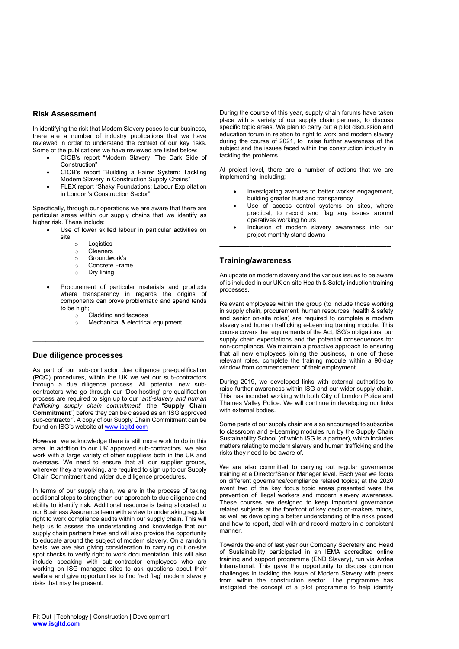#### **Risk Assessment**

In identifying the risk that Modern Slavery poses to our business, there are a number of industry publications that we have reviewed in order to understand the context of our key risks. Some of the publications we have reviewed are listed below;

- CIOB's report "Modern Slavery: The Dark Side of Construction"
- CIOB's report "Building a Fairer System: Tackling Modern Slavery in Construction Supply Chains"
- FLEX report "Shaky Foundations: Labour Exploitation in London's Construction Sector"

Specifically, through our operations we are aware that there are particular areas within our supply chains that we identify as higher risk. These include;

- Use of lower skilled labour in particular activities on site;
	-
	- o Logistics<br>
	o Cleaners ⊙ Cleaners<br>⊙ Groundw
	- o Groundwork's<br>
	o Concrete Fran
	- o Concrete Frame
	- Dry lining
- Procurement of particular materials and products where transparency in regards the origins of components can prove problematic and spend tends to be high;
	- $\circ$  Cladding and facades<br>  $\circ$  Mechanical & electrica

**\_\_\_\_\_\_\_\_\_\_\_\_\_\_\_\_\_\_\_\_\_\_\_\_\_\_\_\_\_\_\_\_\_\_\_\_\_\_\_\_**

Mechanical & electrical equipment

#### **Due diligence processes**

As part of our sub-contractor due diligence pre-qualification (PQQ) procedures, within the UK we vet our sub-contractors through a due diligence process. All potential new subcontractors who go through our 'Doc-hosting' pre-qualification process are required to sign up to our '*anti-slavery and human trafficking supply chain commitment*' (the "**Supply Chain Commitment**") before they can be classed as an 'ISG approved sub-contractor'. A copy of our Supply Chain Commitment can be found on ISG's website at [www.isgltd.com](http://www.isgltd.com/)

However, we acknowledge there is still more work to do in this area. In addition to our UK approved sub-contractors, we also work with a large variety of other suppliers both in the UK and overseas. We need to ensure that all our supplier groups, wherever they are working, are required to sign up to our Supply Chain Commitment and wider due diligence procedures.

In terms of our supply chain, we are in the process of taking additional steps to strengthen our approach to due diligence and ability to identify risk. Additional resource is being allocated to our Business Assurance team with a view to undertaking regular right to work compliance audits within our supply chain. This will help us to assess the understanding and knowledge that our supply chain partners have and will also provide the opportunity to educate around the subject of modern slavery. On a random basis, we are also giving consideration to carrying out on-site spot checks to verify right to work documentation; this will also include speaking with sub-contractor employees who are working on ISG managed sites to ask questions about their welfare and give opportunities to find 'red flag' modern slavery risks that may be present.

During the course of this year, supply chain forums have taken place with a variety of our supply chain partners, to discuss specific topic areas. We plan to carry out a pilot discussion and education forum in relation to right to work and modern slavery during the course of 2021, to  $\overline{ }$  raise further awareness of the subject and the issues faced within the construction industry in tackling the problems.

At project level, there are a number of actions that we are implementing, including;

- Investigating avenues to better worker engagement, building greater trust and transparency
- Use of access control systems on sites, where practical, to record and flag any issues around operatives working hours
- Inclusion of modern slavery awareness into our project monthly stand downs

#### **Training/awareness**

An update on modern slavery and the various issues to be aware of is included in our UK on-site Health & Safety induction training processes.

**\_\_\_\_\_\_\_\_\_\_\_\_\_\_\_\_\_\_\_\_\_\_\_\_\_\_\_\_\_\_\_\_\_\_\_\_\_\_\_\_**

Relevant employees within the group (to include those working in supply chain, procurement, human resources, health & safety and senior on-site roles) are required to complete a modern slavery and human trafficking e-Learning training module. This course covers the requirements of the Act, ISG's obligations, our supply chain expectations and the potential consequences for non-compliance. We maintain a proactive approach to ensuring that all new employees joining the business, in one of these relevant roles, complete the training module within a 90-day window from commencement of their employment.

During 2019, we developed links with external authorities to raise further awareness within ISG and our wider supply chain. This has included working with both City of London Police and Thames Valley Police. We will continue in developing our links with external bodies.

Some parts of our supply chain are also encouraged to subscribe to classroom and e-Learning modules run by the Supply Chain Sustainability School (of which ISG is a partner), which includes matters relating to modern slavery and human trafficking and the risks they need to be aware of.

We are also committed to carrying out regular governance training at a Director/Senior Manager level. Each year we focus on different governance/compliance related topics; at the 2020 event two of the key focus topic areas presented were the prevention of illegal workers and modern slavery awareness. These courses are designed to keep important governance related subjects at the forefront of key decision-makers minds, as well as developing a better understanding of the risks posed and how to report, deal with and record matters in a consistent manner.

Towards the end of last year our Company Secretary and Head of Sustainability participated in an IEMA accredited online training and support programme (END Slavery), run via Ardea International. This gave the opportunity to discuss common challenges in tackling the issue of Modern Slavery with peers from within the construction sector. The programme has instigated the concept of a pilot programme to help identify